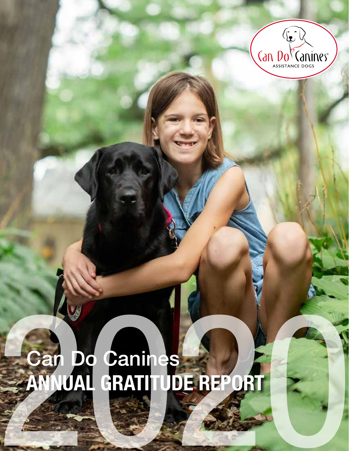

# Can Do Canines Car Do Canines<br>ANNUAL GRATITUDE REPORT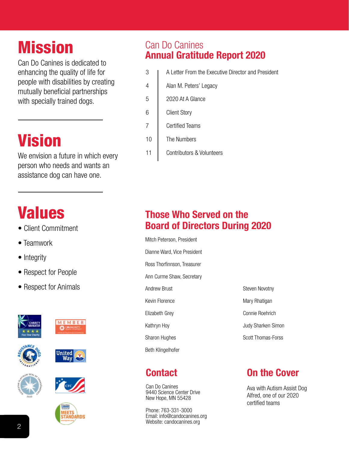## Mission

Can Do Canines is dedicated to enhancing the quality of life for people with disabilities by creating mutually beneficial partnerships with specially trained dogs.

## Vision

We envision a future in which every person who needs and wants an assistance dog can have one.

## Values

- Client Commitment
- Teamwork
- Integrity
- Respect for People
- Respect for Animals











**United Way** 



#### Can Do Canines Annual Gratitude Report 2020

- 3 **I** A Letter From the Executive Director and President
- 4 | Alan M. Peters' Legacy
- 5 2020 At A Glance
- 6 Client Story
- 7 Certified Teams
- 10 | The Numbers
- 11 | Contributors & Volunteers

#### Those Who Served on the Board of Directors During 2020

Mitch Peterson, President Dianne Ward, Vice President Ross Thorfinnson, Treasurer Ann Curme Shaw, Secretary Andrew Brust Kevin Florence Elizabeth Grey Kathryn Hoy Sharon Hughes Beth Klingelhofer

#### **Contact**

Can Do Canines 9440 Science Center Drive New Hope, MN 55428

Phone: 763-331-3000 Email: info@candocanines.org Website: candocanines.org

| Steven Novotny     |
|--------------------|
| Mary Rhatigan      |
| Connie Roehrich    |
| Judy Sharken Simon |
| Scott Thomas-Forss |

#### On the Cover

Ava with Autism Assist Dog Alfred, one of our 2020 certified teams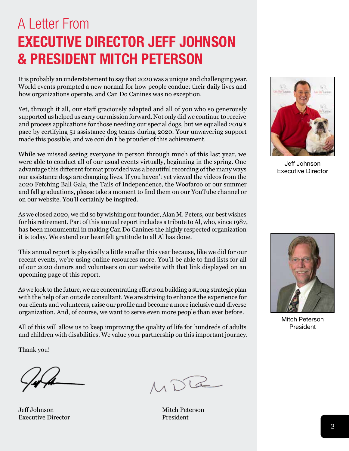## A Letter From EXECUTIVE DIRECTOR JEFF JOHNSON & PRESIDENT MITCH PETERSON

It is probably an understatement to say that 2020 was a unique and challenging year. World events prompted a new normal for how people conduct their daily lives and how organizations operate, and Can Do Canines was no exception.

Yet, through it all, our staff graciously adapted and all of you who so generously supported us helped us carry our mission forward. Not only did we continue to receive and process applications for those needing our special dogs, but we equalled 2019's pace by certifying 51 assistance dog teams during 2020. Your unwavering support made this possible, and we couldn't be prouder of this achievement.

While we missed seeing everyone in person through much of this last year, we were able to conduct all of our usual events virtually, beginning in the spring. One advantage this different format provided was a beautiful recording of the many ways our assistance dogs are changing lives. If you haven't yet viewed the videos from the 2020 Fetching Ball Gala, the Tails of Independence, the Woofaroo or our summer and fall graduations, please take a moment to find them on our YouTube channel or on our website. You'll certainly be inspired.

As we closed 2020, we did so by wishing our founder, Alan M. Peters, our best wishes for his retirement. Part of this annual report includes a tribute to Al, who, since 1987, has been monumental in making Can Do Canines the highly respected organization it is today. We extend our heartfelt gratitude to all Al has done.

This annual report is physically a little smaller this year because, like we did for our recent events, we're using online resources more. You'll be able to find lists for all of our 2020 donors and volunteers on our website with that link displayed on an upcoming page of this report.

As we look to the future, we are concentrating efforts on building a strong strategic plan with the help of an outside consultant. We are striving to enhance the experience for our clients and volunteers, raise our profile and become a more inclusive and diverse organization. And, of course, we want to serve even more people than ever before.

All of this will allow us to keep improving the quality of life for hundreds of adults and children with disabilities. We value your partnership on this important journey.

Thank you!

Jeff Johnson Mitch Peterson Executive Director **President** 

MDR



Jeff Johnson Executive Director



Mitch Peterson President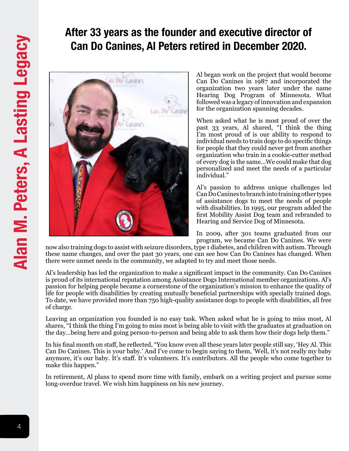#### After 33 years as the founder and executive director of Can Do Canines, Al Peters retired in December 2020.



Al began work on the project that would become Can Do Canines in 1987 and incorporated the organization two years later under the name Hearing Dog Program of Minnesota. What followed was a legacy of innovation and expansion for the organization spanning decades.

When asked what he is most proud of over the past 33 years, Al shared, "I think the thing I'm most proud of is our ability to respond to individual needs to train dogs to do specific things for people that they could never get from another organization who train in a cookie-cutter method of every dog is the same...We could make that dog personalized and meet the needs of a particular individual."

Al's passion to address unique challenges led Can Do Canines to branch into training other types of assistance dogs to meet the needs of people with disabilities. In 1995, our program added the first Mobility Assist Dog team and rebranded to Hearing and Service Dog of Minnesota.

In 2009, after 301 teams graduated from our program, we became Can Do Canines. We were

now also training dogs to assist with seizure disorders, type 1 diabetes, and children with autism. Through these name changes, and over the past 30 years, one can see how Can Do Canines has changed. When there were unmet needs in the community, we adapted to try and meet those needs.

Al's leadership has led the organization to make a significant impact in the community. Can Do Canines is proud of its international reputation among Assistance Dogs International member organizations. Al's passion for helping people became a cornerstone of the organization's mission to enhance the quality of life for people with disabilities by creating mutually beneficial partnerships with specially trained dogs. To date, we have provided more than 750 high-quality assistance dogs to people with disabilities, all free of charge.

Leaving an organization you founded is no easy task. When asked what he is going to miss most, Al shares, "I think the thing I'm going to miss most is being able to visit with the graduates at graduation on the day…being here and going person-to-person and being able to ask them how their dogs help them."

In his final month on staff, he reflected, "You know even all these years later people still say, 'Hey Al. This Can Do Canines. This is your baby.' And I've come to begin saying to them, 'Well, it's not really my baby anymore, it's our baby. It's staff. It's volunteers. It's contributors. All the people who come together to make this happen."

In retirement, Al plans to spend more time with family, embark on a writing project and pursue some long-overdue travel. We wish him happiness on his new journey.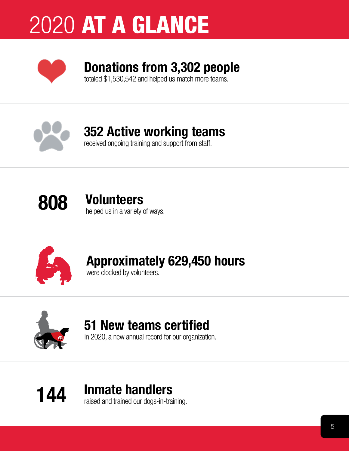## 2020 AT A GLANCE



## Donations from 3,302 people

totaled \$1,530,542 and helped us match more teams.



## 352 Active working teams

received ongoing training and support from staff.



#### 808 Volunteers helped us in a variety of ways.



## Approximately 629,450 hours

were clocked by volunteers.



#### 51 New teams certified

in 2020, a new annual record for our organization.

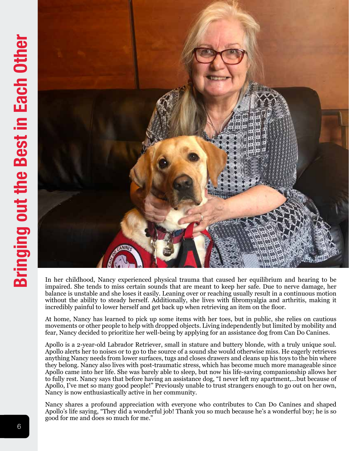

In her childhood, Nancy experienced physical trauma that caused her equilibrium and hearing to be impaired. She tends to miss certain sounds that are meant to keep her safe. Due to nerve damage, her balance is unstable and she loses it easily. Leaning over or reaching usually result in a continuous motion without the ability to steady herself. Additionally, she lives with fibromyalgia and arthritis, making it incredibly painful to lower herself and get back up when retrieving an item on the floor.

At home, Nancy has learned to pick up some items with her toes, but in public, she relies on cautious movements or other people to help with dropped objects. Living independently but limited by mobility and fear, Nancy decided to prioritize her well-being by applying for an assistance dog from Can Do Canines.

Apollo is a 2-year-old Labrador Retriever, small in stature and buttery blonde, with a truly unique soul. Apollo alerts her to noises or to go to the source of a sound she would otherwise miss. He eagerly retrieves anything Nancy needs from lower surfaces, tugs and closes drawers and cleans up his toys to the bin where they belong. Nancy also lives with post-traumatic stress, which has become much more manageable since Apollo came into her life. She was barely able to sleep, but now his life-saving companionship allows her to fully rest. Nancy says that before having an assistance dog, "I never left my apartment,...but because of Apollo, I've met so many good people!" Previously unable to trust strangers enough to go out on her own, Nancy is now enthusiastically active in her community.

Nancy shares a profound appreciation with everyone who contributes to Can Do Canines and shaped Apollo's life saying, "They did a wonderful job! Thank you so much because he's a wonderful boy; he is so good for me and does so much for me."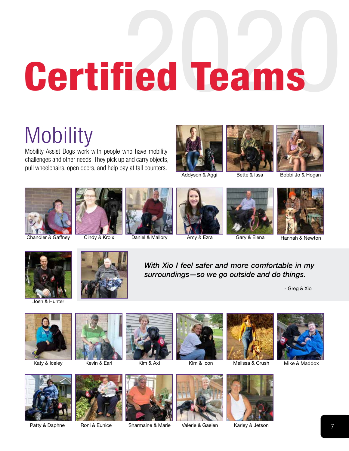# **Certified Teams**

## **Mobility**

Mobility Assist Dogs work with people who have mobility challenges and other needs. They pick up and carry objects, pull wheelchairs, open doors, and help pay at tall counters.







Addyson & Aggi Bette & Issa Bobbi Jo & Hogan















Josh & Hunter



*With Xio I feel safer and more comfortable in my surroundings—so we go outside and do things.*

- Greg & Xio



























Patty & Daphne Roni & Eunice Sharmaine & Marie Valerie & Gaelen Karley & Jetson 7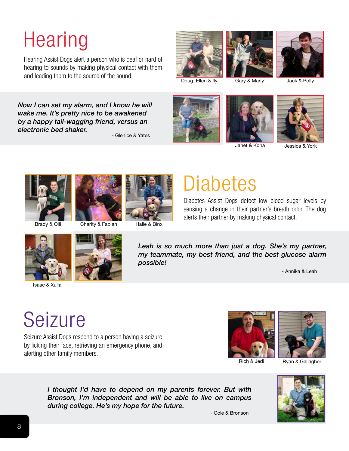## **Hearing**

Hearing Assist Dogs alert a person who is deaf or hard of hearing to sounds by making physical contact with them and leading them to the source of the sound.<br>Doug, Ellen & Ily Gary & Marly Jack & Polly











*Now I can set my alarm, and I know he will wake me. It's pretty nice to be awakened by a happy tail-wagging friend, versus an electronic bed shaker.*

- Glenice & Yates







Janet & Kona Jessica & York





Brady & Olli Charity & Fabian Halle & Binx

## **Diabetes**

Diabetes Assist Dogs detect low blood sugar levels by sensing a change in their partner's breath odor. The dog alerts their partner by making physical contact.



Isaac & Xulla



Leah is so much more than just a dog. She's my partner, *my teammate, my best friend, and the best glucose alarm possible!*

- Annika & Leah

## Seizure

Seizure Assist Dogs respond to a person having a seizure by licking their face, retrieving an emergency phone, and alerting other family members.





Rich & Jedi<br>
Ryan & Gallagher



*I thought I'd have to depend on my parents forever. But with Bronson, I'm independent and will be able to live on campus during college. He's my hope for the future.*

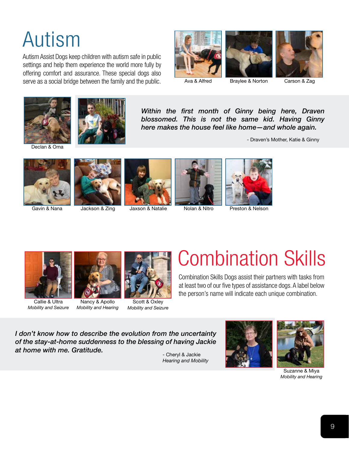## Autism

Autism Assist Dogs keep children with autism safe in public settings and help them experience the world more fully by offering comfort and assurance. These special dogs also serve as a social bridge between the family and the public.







Declan & Oma



*Within the first month of Ginny being here, Draven blossomed. This is not the same kid. Having Ginny here makes the house feel like home—and whole again.*

- Draven's Mother, Katie & Ginny











Gavin & Nana Jackson & Zing Jaxson & Natalie Nolan & Nitro Preston & Nelson



Callie & Ultra *Mobility and Seizure*



Nancy & Apollo *Mobility and Hearing*



Scott & Oxley *Mobility and Seizure*

## Combination Skills

Combination Skills Dogs assist their partners with tasks from at least two of our five types of assistance dogs. A label below the person's name will indicate each unique combination.

*I don't know how to describe the evolution from the uncertainty of the stay-at-home suddenness to the blessing of having Jackie at home with me. Gratitude.*

- Cheryl & Jackie *Hearing and Mobility*





Suzanne & Miya *Mobility and Hearing*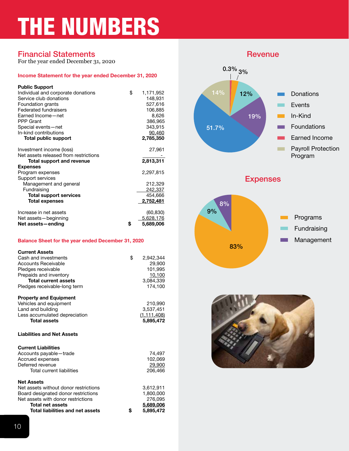## THE NUMBERS

#### **Financial Statements Revenue**

For the year ended December 31, 2020

#### Income Statement for the year ended December 31, 2020

| <b>Public Support</b><br>Individual and corporate donations<br>Service club donations<br>Foundation grants<br><b>Federated fundraisers</b><br>Earned Income-net<br><b>PPP Grant</b><br>Special events-net<br>In-kind contributions | \$<br>1,171,952<br>148,931<br>527,616<br>106,885<br>8,626<br>386,965<br>343,915<br>90,460 |
|------------------------------------------------------------------------------------------------------------------------------------------------------------------------------------------------------------------------------------|-------------------------------------------------------------------------------------------|
| <b>Total public support</b>                                                                                                                                                                                                        | 2,785,350                                                                                 |
| Investment income (loss)<br>Net assets released from restrictions<br>Total support and revenue<br><b>Expenses</b>                                                                                                                  | 27,961<br>2,813,311                                                                       |
| Program expenses<br>Support services<br>Management and general<br>Fundraising<br><b>Total support services</b><br><b>Total expenses</b>                                                                                            | 2,297,815<br>212,329<br>242,337<br>454,666<br>2,752,481                                   |
| Increase in net assets<br>Net assets-beginning<br>Net assets-ending                                                                                                                                                                | \$<br>(60, 830)<br>5,628,176<br>5,689,006                                                 |

#### Balance Sheet for the year ended December 31, 2020

| <b>Current Assets</b><br>Cash and investments<br>Accounts Receivable<br>Pledges receivable<br>Prepaids and inventory<br><b>Total current assets</b><br>Pledges receivable-long term                           | \$<br>2,942,344<br>29,900<br>101.995<br>10,100<br>3,084,339<br>174.100 |
|---------------------------------------------------------------------------------------------------------------------------------------------------------------------------------------------------------------|------------------------------------------------------------------------|
| <b>Property and Equipment</b><br>Vehicles and equipment<br>Land and building<br>Less accumulated depreciation<br><b>Total assets</b>                                                                          | 210,990<br>3,537,451<br>(1, 111, 408)<br>5,895,472                     |
| <b>Liabilities and Net Assets</b>                                                                                                                                                                             |                                                                        |
| <b>Current Liabilities</b><br>Accounts payable-trade<br>Accrued expenses<br>Deferred revenue<br><b>Total current liabilities</b>                                                                              | 74,497<br>102,069<br>29,900<br>206.466                                 |
| <b>Net Assets</b><br>Net assets without donor restrictions<br>Board designated donor restrictions<br>Net assets with donor restrictions<br><b>Total net assets</b><br><b>Total liabilities and net assets</b> | \$<br>3,612,911<br>1,800,000<br>276,095<br>5,689,006<br>5,895,472      |





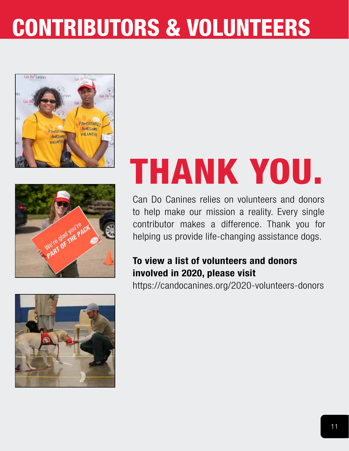## CONTRIBUTORS & VOLUNTEERS





## THANK YOU.

Can Do Canines relies on volunteers and donors to help make our mission a reality. Every single contributor makes a difference. Thank you for helping us provide life-changing assistance dogs.

#### To view a list of volunteers and donors involved in 2020, please visit

<https://candocanines.org/2020-volunteers-donors>